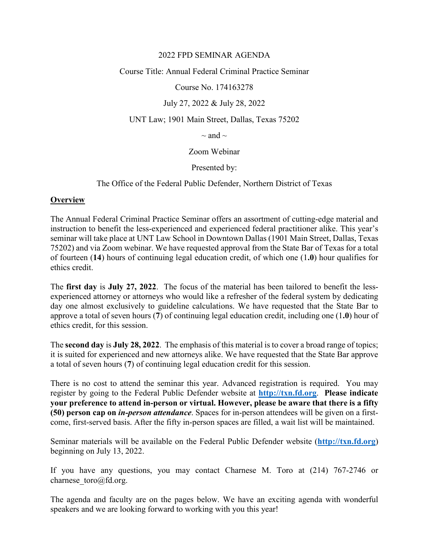#### 2022 FPD SEMINAR AGENDA

Course Title: Annual Federal Criminal Practice Seminar

Course No. 174163278

# July 27, 2022 & July 28, 2022

UNT Law; 1901 Main Street, Dallas, Texas 75202

 $\sim$  and  $\sim$ 

Zoom Webinar

Presented by:

The Office of the Federal Public Defender, Northern District of Texas

### **Overview**

The Annual Federal Criminal Practice Seminar offers an assortment of cutting-edge material and instruction to benefit the less-experienced and experienced federal practitioner alike. This year's seminar will take place at UNT Law School in Downtown Dallas (1901 Main Street, Dallas, Texas 75202) and via Zoom webinar. We have requested approval from the State Bar of Texas for a total of fourteen (**14**) hours of continuing legal education credit, of which one (1**.0**) hour qualifies for ethics credit.

The **first day** is **July 27, 2022**. The focus of the material has been tailored to benefit the lessexperienced attorney or attorneys who would like a refresher of the federal system by dedicating day one almost exclusively to guideline calculations. We have requested that the State Bar to approve a total of seven hours (**7**) of continuing legal education credit, including one (1**.0**) hour of ethics credit, for this session.

The **second day** is **July 28, 2022**. The emphasis of this material is to cover a broad range of topics; it is suited for experienced and new attorneys alike. We have requested that the State Bar approve a total of seven hours (**7**) of continuing legal education credit for this session.

There is no cost to attend the seminar this year. Advanced registration is required. You may register by going to the Federal Public Defender website at **[http://txn.fd.org](http://txn.fd.org/)**. **Please indicate your preference to attend in-person or virtual. However, please be aware that there is a fifty (50) person cap on** *in-person attendance*. Spaces for in-person attendees will be given on a firstcome, first-served basis. After the fifty in-person spaces are filled, a wait list will be maintained.

Seminar materials will be available on the Federal Public Defender website (**[http://txn.fd.org](http://txn.fd.org/)**) beginning on July 13, 2022.

If you have any questions, you may contact Charnese M. Toro at (214) 767-2746 or charnese toro@fd.org.

The agenda and faculty are on the pages below. We have an exciting agenda with wonderful speakers and we are looking forward to working with you this year!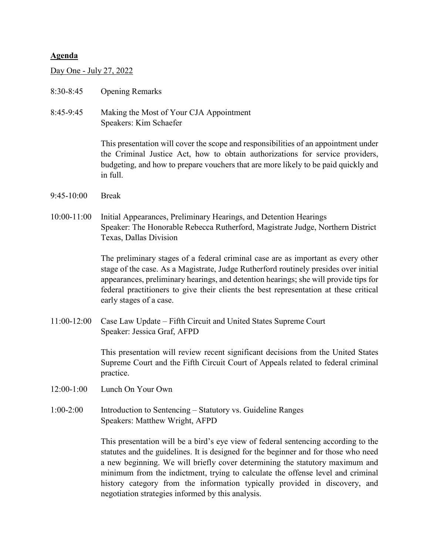#### **Agenda**

Day One - July 27, 2022

- 8:30-8:45 Opening Remarks
- 8:45-9:45 Making the Most of Your CJA Appointment Speakers: Kim Schaefer

This presentation will cover the scope and responsibilities of an appointment under the Criminal Justice Act, how to obtain authorizations for service providers, budgeting, and how to prepare vouchers that are more likely to be paid quickly and in full.

- 9:45-10:00 Break
- 10:00-11:00 Initial Appearances, Preliminary Hearings, and Detention Hearings Speaker: The Honorable Rebecca Rutherford, Magistrate Judge, Northern District Texas, Dallas Division

The preliminary stages of a federal criminal case are as important as every other stage of the case. As a Magistrate, Judge Rutherford routinely presides over initial appearances, preliminary hearings, and detention hearings; she will provide tips for federal practitioners to give their clients the best representation at these critical early stages of a case.

11:00-12:00 Case Law Update – Fifth Circuit and United States Supreme Court Speaker: Jessica Graf, AFPD

> This presentation will review recent significant decisions from the United States Supreme Court and the Fifth Circuit Court of Appeals related to federal criminal practice.

- 12:00-1:00 Lunch On Your Own
- 1:00-2:00 Introduction to Sentencing Statutory vs. Guideline Ranges Speakers: Matthew Wright, AFPD

This presentation will be a bird's eye view of federal sentencing according to the statutes and the guidelines. It is designed for the beginner and for those who need a new beginning. We will briefly cover determining the statutory maximum and minimum from the indictment, trying to calculate the offense level and criminal history category from the information typically provided in discovery, and negotiation strategies informed by this analysis.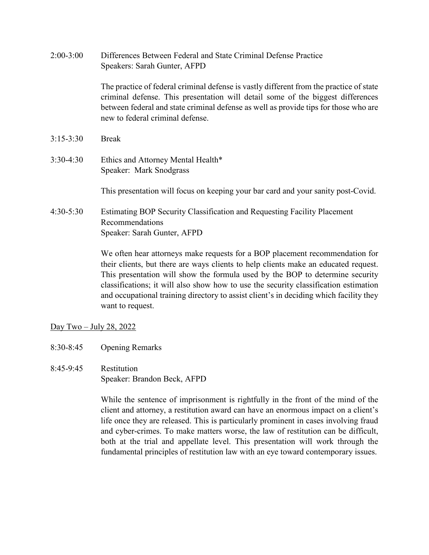| $2:00-3:00$   | Differences Between Federal and State Criminal Defense Practice<br>Speakers: Sarah Gunter, AFPD                                                                                                                                                                                                        |
|---------------|--------------------------------------------------------------------------------------------------------------------------------------------------------------------------------------------------------------------------------------------------------------------------------------------------------|
|               | The practice of federal criminal defense is vastly different from the practice of state<br>criminal defense. This presentation will detail some of the biggest differences<br>between federal and state criminal defense as well as provide tips for those who are<br>new to federal criminal defense. |
| $3:15 - 3:30$ | <b>Break</b>                                                                                                                                                                                                                                                                                           |
| 3:30-4:30     | Ethics and Attorney Mental Health*<br>Speaker: Mark Snodgrass                                                                                                                                                                                                                                          |
|               | This presentation will focus on keeping your bar card and your sanity post-Covid.                                                                                                                                                                                                                      |
| $4:30-5:30$   | Estimating BOP Security Classification and Requesting Facility Placement<br>Recommendations<br>Speaker: Sarah Gunter, AFPD                                                                                                                                                                             |
|               | We often hear attorneys make requests for a BOP placement recommendation for<br>their clients, but there are ways clients to help clients make an educated request.                                                                                                                                    |

This presentation will show the formula used by the BOP to determine security classifications; it will also show how to use the security classification estimation and occupational training directory to assist client's in deciding which facility they want to request.

Day Two – July 28, 2022

- 8:30-8:45 Opening Remarks
- 8:45-9:45 Restitution Speaker: Brandon Beck, AFPD

While the sentence of imprisonment is rightfully in the front of the mind of the client and attorney, a restitution award can have an enormous impact on a client's life once they are released. This is particularly prominent in cases involving fraud and cyber-crimes. To make matters worse, the law of restitution can be difficult, both at the trial and appellate level. This presentation will work through the fundamental principles of restitution law with an eye toward contemporary issues.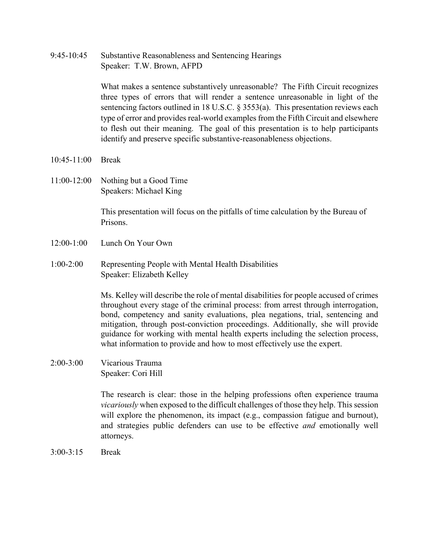9:45-10:45 Substantive Reasonableness and Sentencing Hearings Speaker: T.W. Brown, AFPD

> What makes a sentence substantively unreasonable? The Fifth Circuit recognizes three types of errors that will render a sentence unreasonable in light of the sentencing factors outlined in 18 U.S.C. § 3553(a). This presentation reviews each type of error and provides real-world examples from the Fifth Circuit and elsewhere to flesh out their meaning. The goal of this presentation is to help participants identify and preserve specific substantive-reasonableness objections.

- 10:45-11:00 Break
- 11:00-12:00 Nothing but a Good Time Speakers: Michael King

This presentation will focus on the pitfalls of time calculation by the Bureau of Prisons.

- 12:00-1:00 Lunch On Your Own
- 1:00-2:00 Representing People with Mental Health Disabilities Speaker: Elizabeth Kelley

Ms. Kelley will describe the role of mental disabilities for people accused of crimes throughout every stage of the criminal process: from arrest through interrogation, bond, competency and sanity evaluations, plea negations, trial, sentencing and mitigation, through post-conviction proceedings. Additionally, she will provide guidance for working with mental health experts including the selection process, what information to provide and how to most effectively use the expert.

2:00-3:00 Vicarious Trauma Speaker: Cori Hill

> The research is clear: those in the helping professions often experience trauma *vicariously* when exposed to the difficult challenges of those they help. This session will explore the phenomenon, its impact (e.g., compassion fatigue and burnout), and strategies public defenders can use to be effective *and* emotionally well attorneys.

3:00-3:15 Break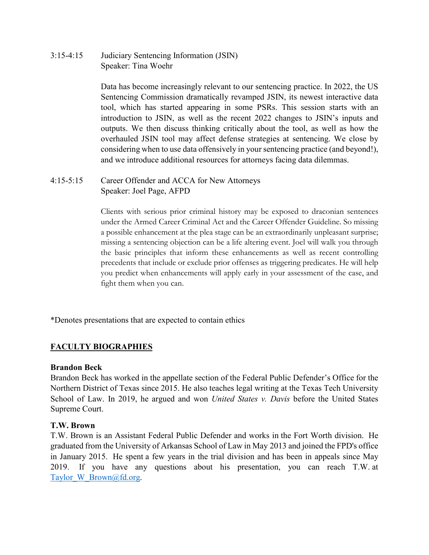3:15-4:15 Judiciary Sentencing Information (JSIN) Speaker: Tina Woehr

> Data has become increasingly relevant to our sentencing practice. In 2022, the US Sentencing Commission dramatically revamped JSIN, its newest interactive data tool, which has started appearing in some PSRs. This session starts with an introduction to JSIN, as well as the recent 2022 changes to JSIN's inputs and outputs. We then discuss thinking critically about the tool, as well as how the overhauled JSIN tool may affect defense strategies at sentencing. We close by considering when to use data offensively in your sentencing practice (and beyond!), and we introduce additional resources for attorneys facing data dilemmas.

4:15-5:15 Career Offender and ACCA for New Attorneys Speaker: Joel Page, AFPD

> Clients with serious prior criminal history may be exposed to draconian sentences under the Armed Career Criminal Act and the Career Offender Guideline. So missing a possible enhancement at the plea stage can be an extraordinarily unpleasant surprise; missing a sentencing objection can be a life altering event. Joel will walk you through the basic principles that inform these enhancements as well as recent controlling precedents that include or exclude prior offenses as triggering predicates. He will help you predict when enhancements will apply early in your assessment of the case, and fight them when you can.

\*Denotes presentations that are expected to contain ethics

# **FACULTY BIOGRAPHIES**

#### **Brandon Beck**

Brandon Beck has worked in the appellate section of the Federal Public Defender's Office for the Northern District of Texas since 2015. He also teaches legal writing at the Texas Tech University School of Law. In 2019, he argued and won *United States v. Davis* before the United States Supreme Court.

#### **T.W. Brown**

T.W. Brown is an Assistant Federal Public Defender and works in the Fort Worth division. He graduated from the University of Arkansas School of Law in May 2013 and joined the FPD's office in January 2015. He spent a few years in the trial division and has been in appeals since May 2019. If you have any questions about his presentation, you can reach T.W. at Taylor W\_Brown@fd.org.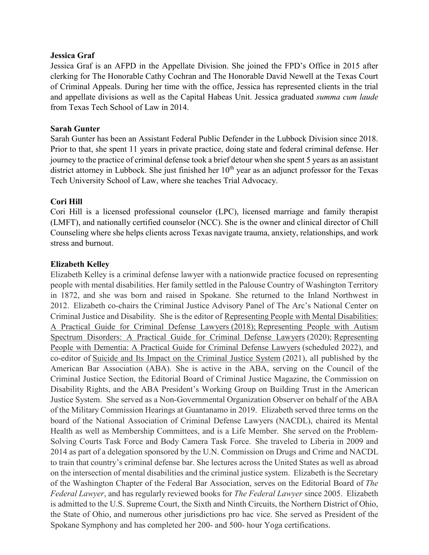#### **Jessica Graf**

Jessica Graf is an AFPD in the Appellate Division. She joined the FPD's Office in 2015 after clerking for The Honorable Cathy Cochran and The Honorable David Newell at the Texas Court of Criminal Appeals. During her time with the office, Jessica has represented clients in the trial and appellate divisions as well as the Capital Habeas Unit. Jessica graduated *summa cum laude*  from Texas Tech School of Law in 2014.

#### **Sarah Gunter**

Sarah Gunter has been an Assistant Federal Public Defender in the Lubbock Division since 2018. Prior to that, she spent 11 years in private practice, doing state and federal criminal defense. Her journey to the practice of criminal defense took a brief detour when she spent 5 years as an assistant district attorney in Lubbock. She just finished her  $10<sup>th</sup>$  year as an adjunct professor for the Texas Tech University School of Law, where she teaches Trial Advocacy.

#### **Cori Hill**

Cori Hill is a licensed professional counselor (LPC), licensed marriage and family therapist (LMFT), and nationally certified counselor (NCC). She is the owner and clinical director of Chill Counseling where she helps clients across Texas navigate trauma, anxiety, relationships, and work stress and burnout.

### **Elizabeth Kelley**

Elizabeth Kelley is a criminal defense lawyer with a nationwide practice focused on representing people with mental disabilities. Her family settled in the Palouse Country of Washington Territory in 1872, and she was born and raised in Spokane. She returned to the Inland Northwest in 2012. Elizabeth co-chairs the Criminal Justice Advisory Panel of The Arc's National Center on Criminal Justice and Disability. She is the editor of Representing People with Mental Disabilities: A Practical Guide for Criminal Defense Lawyers (2018); Representing People with Autism Spectrum Disorders: A Practical Guide for Criminal Defense Lawyers (2020); Representing People with Dementia: A Practical Guide for Criminal Defense Lawyers (scheduled 2022), and co-editor of Suicide and Its Impact on the Criminal Justice System (2021), all published by the American Bar Association (ABA). She is active in the ABA, serving on the Council of the Criminal Justice Section, the Editorial Board of Criminal Justice Magazine, the Commission on Disability Rights, and the ABA President's Working Group on Building Trust in the American Justice System. She served as a Non-Governmental Organization Observer on behalf of the ABA of the Military Commission Hearings at Guantanamo in 2019. Elizabeth served three terms on the board of the National Association of Criminal Defense Lawyers (NACDL), chaired its Mental Health as well as Membership Committees, and is a Life Member. She served on the Problem-Solving Courts Task Force and Body Camera Task Force. She traveled to Liberia in 2009 and 2014 as part of a delegation sponsored by the U.N. Commission on Drugs and Crime and NACDL to train that country's criminal defense bar. She lectures across the United States as well as abroad on the intersection of mental disabilities and the criminal justice system. Elizabeth is the Secretary of the Washington Chapter of the Federal Bar Association, serves on the Editorial Board of *The Federal Lawyer*, and has regularly reviewed books for *The Federal Lawyer* since 2005. Elizabeth is admitted to the U.S. Supreme Court, the Sixth and Ninth Circuits, the Northern District of Ohio, the State of Ohio, and numerous other jurisdictions pro hac vice. She served as President of the Spokane Symphony and has completed her 200- and 500- hour Yoga certifications.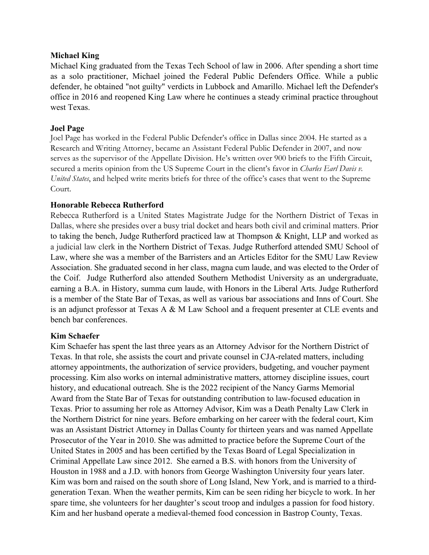### **Michael King**

Michael King graduated from the Texas Tech School of law in 2006. After spending a short time as a solo practitioner, Michael joined the Federal Public Defenders Office. While a public defender, he obtained "not guilty" verdicts in Lubbock and Amarillo. Michael left the Defender's office in 2016 and reopened King Law where he continues a steady criminal practice throughout west Texas.

### **Joel Page**

Joel Page has worked in the Federal Public Defender's office in Dallas since 2004. He started as a Research and Writing Attorney, became an Assistant Federal Public Defender in 2007, and now serves as the supervisor of the Appellate Division. He's written over 900 briefs to the Fifth Circuit, secured a merits opinion from the US Supreme Court in the client's favor in *Charles Earl Davis v. United States*, and helped write merits briefs for three of the office's cases that went to the Supreme Court.

## **Honorable Rebecca Rutherford**

Rebecca Rutherford is a United States Magistrate Judge for the Northern District of Texas in Dallas, where she presides over a busy trial docket and hears both civil and criminal matters. Prior to taking the bench, Judge Rutherford practiced law at Thompson & Knight, LLP and worked as a judicial law clerk in the Northern District of Texas. Judge Rutherford attended SMU School of Law, where she was a member of the Barristers and an Articles Editor for the SMU Law Review Association. She graduated second in her class, magna cum laude, and was elected to the Order of the Coif. Judge Rutherford also attended Southern Methodist University as an undergraduate, earning a B.A. in History, summa cum laude, with Honors in the Liberal Arts. Judge Rutherford is a member of the State Bar of Texas, as well as various bar associations and Inns of Court. She is an adjunct professor at Texas A & M Law School and a frequent presenter at CLE events and bench bar conferences.

## **Kim Schaefer**

Kim Schaefer has spent the last three years as an Attorney Advisor for the Northern District of Texas. In that role, she assists the court and private counsel in CJA-related matters, including attorney appointments, the authorization of service providers, budgeting, and voucher payment processing. Kim also works on internal administrative matters, attorney discipline issues, court history, and educational outreach. She is the 2022 recipient of the Nancy Garms Memorial Award from the State Bar of Texas for outstanding contribution to law-focused education in Texas. Prior to assuming her role as Attorney Advisor, Kim was a Death Penalty Law Clerk in the Northern District for nine years. Before embarking on her career with the federal court, Kim was an Assistant District Attorney in Dallas County for thirteen years and was named Appellate Prosecutor of the Year in 2010. She was admitted to practice before the Supreme Court of the United States in 2005 and has been certified by the Texas Board of Legal Specialization in Criminal Appellate Law since 2012. She earned a B.S. with honors from the University of Houston in 1988 and a J.D. with honors from George Washington University four years later. Kim was born and raised on the south shore of Long Island, New York, and is married to a thirdgeneration Texan. When the weather permits, Kim can be seen riding her bicycle to work. In her spare time, she volunteers for her daughter's scout troop and indulges a passion for food history. Kim and her husband operate a medieval-themed food concession in Bastrop County, Texas.